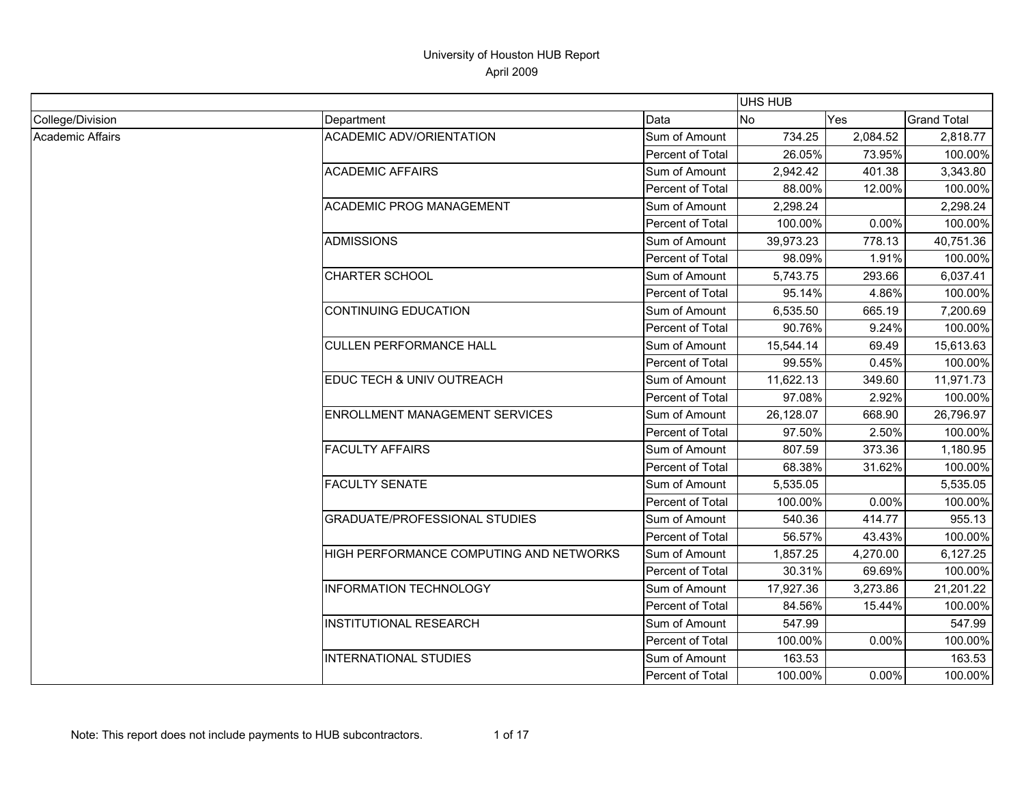|                  |                                         |                         | <b>UHS HUB</b> |          |                    |
|------------------|-----------------------------------------|-------------------------|----------------|----------|--------------------|
| College/Division | Department                              | Data                    | No             | Yes      | <b>Grand Total</b> |
| Academic Affairs | <b>ACADEMIC ADV/ORIENTATION</b>         | Sum of Amount           | 734.25         | 2,084.52 | 2,818.77           |
|                  |                                         | <b>Percent of Total</b> | 26.05%         | 73.95%   | 100.00%            |
|                  | <b>ACADEMIC AFFAIRS</b>                 | Sum of Amount           | 2,942.42       | 401.38   | 3,343.80           |
|                  |                                         | Percent of Total        | 88.00%         | 12.00%   | 100.00%            |
|                  | <b>ACADEMIC PROG MANAGEMENT</b>         | Sum of Amount           | 2,298.24       |          | 2,298.24           |
|                  |                                         | Percent of Total        | 100.00%        | $0.00\%$ | 100.00%            |
|                  | <b>ADMISSIONS</b>                       | Sum of Amount           | 39,973.23      | 778.13   | 40,751.36          |
|                  |                                         | Percent of Total        | 98.09%         | 1.91%    | 100.00%            |
|                  | <b>CHARTER SCHOOL</b>                   | Sum of Amount           | 5,743.75       | 293.66   | 6,037.41           |
|                  |                                         | Percent of Total        | 95.14%         | 4.86%    | 100.00%            |
|                  | <b>CONTINUING EDUCATION</b>             | Sum of Amount           | 6,535.50       | 665.19   | 7,200.69           |
|                  |                                         | Percent of Total        | 90.76%         | 9.24%    | 100.00%            |
|                  | <b>CULLEN PERFORMANCE HALL</b>          | Sum of Amount           | 15,544.14      | 69.49    | 15,613.63          |
|                  |                                         | Percent of Total        | 99.55%         | 0.45%    | 100.00%            |
|                  | EDUC TECH & UNIV OUTREACH               | Sum of Amount           | 11,622.13      | 349.60   | 11,971.73          |
|                  |                                         | Percent of Total        | 97.08%         | 2.92%    | 100.00%            |
|                  | ENROLLMENT MANAGEMENT SERVICES          | Sum of Amount           | 26,128.07      | 668.90   | 26,796.97          |
|                  |                                         | Percent of Total        | 97.50%         | 2.50%    | 100.00%            |
|                  | <b>FACULTY AFFAIRS</b>                  | Sum of Amount           | 807.59         | 373.36   | 1,180.95           |
|                  |                                         | Percent of Total        | 68.38%         | 31.62%   | 100.00%            |
|                  | <b>FACULTY SENATE</b>                   | Sum of Amount           | 5,535.05       |          | 5,535.05           |
|                  |                                         | Percent of Total        | 100.00%        | $0.00\%$ | 100.00%            |
|                  | <b>GRADUATE/PROFESSIONAL STUDIES</b>    | Sum of Amount           | 540.36         | 414.77   | 955.13             |
|                  |                                         | <b>Percent of Total</b> | 56.57%         | 43.43%   | 100.00%            |
|                  | HIGH PERFORMANCE COMPUTING AND NETWORKS | Sum of Amount           | 1,857.25       | 4,270.00 | 6,127.25           |
|                  |                                         | Percent of Total        | 30.31%         | 69.69%   | 100.00%            |
|                  | <b>INFORMATION TECHNOLOGY</b>           | Sum of Amount           | 17,927.36      | 3,273.86 | 21,201.22          |
|                  |                                         | Percent of Total        | 84.56%         | 15.44%   | 100.00%            |
|                  | <b>INSTITUTIONAL RESEARCH</b>           | Sum of Amount           | 547.99         |          | 547.99             |
|                  |                                         | Percent of Total        | 100.00%        | 0.00%    | 100.00%            |
|                  | <b>INTERNATIONAL STUDIES</b>            | Sum of Amount           | 163.53         |          | 163.53             |
|                  |                                         | Percent of Total        | 100.00%        | 0.00%    | 100.00%            |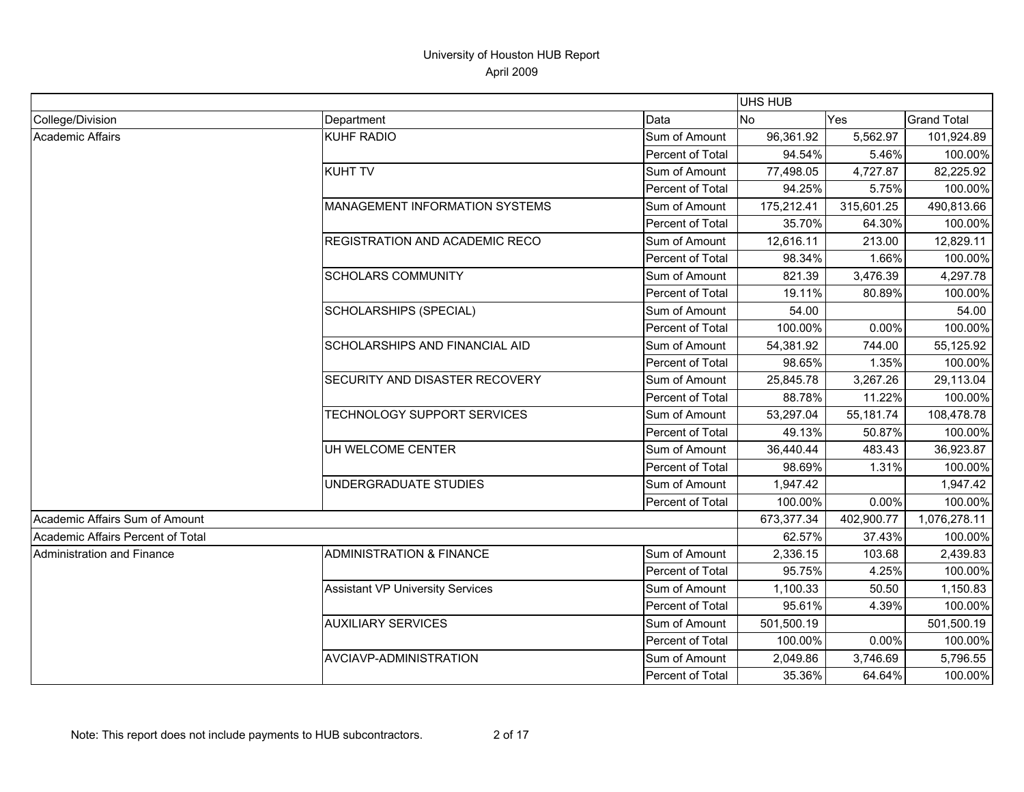|                                   |                                         |                  | <b>UHS HUB</b> |            |                    |
|-----------------------------------|-----------------------------------------|------------------|----------------|------------|--------------------|
| College/Division                  | Department                              | Data             | <b>INo</b>     | Yes        | <b>Grand Total</b> |
| Academic Affairs                  | KUHF RADIO                              | Sum of Amount    | 96,361.92      | 5,562.97   | 101,924.89         |
|                                   |                                         | Percent of Total | 94.54%         | 5.46%      | 100.00%            |
|                                   | <b>KUHT TV</b>                          | Sum of Amount    | 77,498.05      | 4,727.87   | 82,225.92          |
|                                   |                                         | Percent of Total | 94.25%         | 5.75%      | 100.00%            |
|                                   | <b>MANAGEMENT INFORMATION SYSTEMS</b>   | Sum of Amount    | 175,212.41     | 315,601.25 | 490,813.66         |
|                                   |                                         | Percent of Total | 35.70%         | 64.30%     | 100.00%            |
|                                   | <b>REGISTRATION AND ACADEMIC RECO</b>   | Sum of Amount    | 12,616.11      | 213.00     | 12,829.11          |
|                                   |                                         | Percent of Total | 98.34%         | 1.66%      | 100.00%            |
|                                   | <b>SCHOLARS COMMUNITY</b>               | Sum of Amount    | 821.39         | 3,476.39   | 4,297.78           |
|                                   |                                         | Percent of Total | 19.11%         | 80.89%     | 100.00%            |
|                                   | SCHOLARSHIPS (SPECIAL)                  | Sum of Amount    | 54.00          |            | 54.00              |
|                                   |                                         | Percent of Total | 100.00%        | 0.00%      | 100.00%            |
|                                   | SCHOLARSHIPS AND FINANCIAL AID          | Sum of Amount    | 54,381.92      | 744.00     | 55,125.92          |
|                                   |                                         | Percent of Total | 98.65%         | 1.35%      | 100.00%            |
|                                   | SECURITY AND DISASTER RECOVERY          | Sum of Amount    | 25,845.78      | 3,267.26   | 29,113.04          |
|                                   |                                         | Percent of Total | 88.78%         | 11.22%     | 100.00%            |
|                                   | TECHNOLOGY SUPPORT SERVICES             | Sum of Amount    | 53,297.04      | 55,181.74  | 108,478.78         |
|                                   |                                         | Percent of Total | 49.13%         | 50.87%     | 100.00%            |
|                                   | UH WELCOME CENTER                       | Sum of Amount    | 36,440.44      | 483.43     | 36,923.87          |
|                                   |                                         | Percent of Total | 98.69%         | 1.31%      | 100.00%            |
|                                   | UNDERGRADUATE STUDIES                   | Sum of Amount    | 1,947.42       |            | 1,947.42           |
|                                   |                                         | Percent of Total | 100.00%        | 0.00%      | 100.00%            |
| Academic Affairs Sum of Amount    |                                         |                  | 673,377.34     | 402,900.77 | 1,076,278.11       |
| Academic Affairs Percent of Total |                                         |                  | 62.57%         | 37.43%     | 100.00%            |
| <b>Administration and Finance</b> | <b>ADMINISTRATION &amp; FINANCE</b>     | Sum of Amount    | 2,336.15       | 103.68     | 2,439.83           |
|                                   |                                         | Percent of Total | 95.75%         | 4.25%      | 100.00%            |
|                                   | <b>Assistant VP University Services</b> | Sum of Amount    | 1,100.33       | 50.50      | 1,150.83           |
|                                   |                                         | Percent of Total | 95.61%         | 4.39%      | 100.00%            |
|                                   | <b>AUXILIARY SERVICES</b>               | Sum of Amount    | 501,500.19     |            | 501,500.19         |
|                                   |                                         | Percent of Total | 100.00%        | 0.00%      | 100.00%            |
|                                   | <b>AVCIAVP-ADMINISTRATION</b>           | Sum of Amount    | 2,049.86       | 3,746.69   | 5,796.55           |
|                                   |                                         | Percent of Total | 35.36%         | 64.64%     | 100.00%            |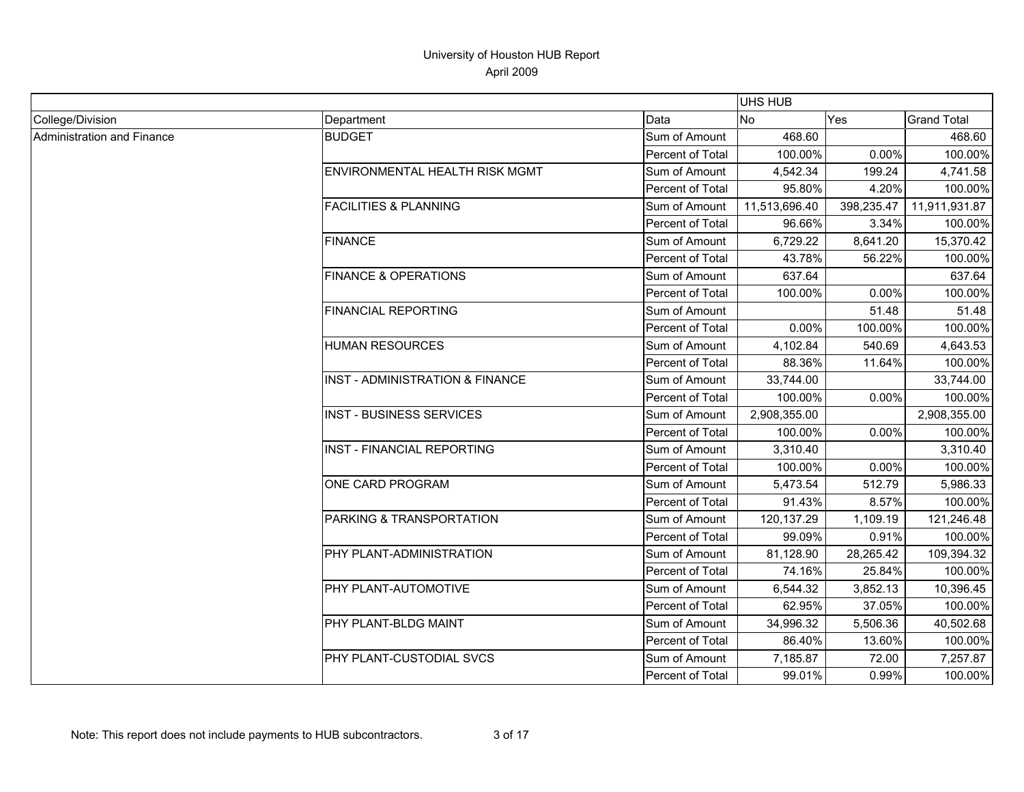|                            |                                   |                         | <b>UHS HUB</b> |            |                    |
|----------------------------|-----------------------------------|-------------------------|----------------|------------|--------------------|
| College/Division           | Department                        | Data                    | <b>No</b>      | Yes        | <b>Grand Total</b> |
| Administration and Finance | <b>BUDGET</b>                     | Sum of Amount           | 468.60         |            | 468.60             |
|                            |                                   | <b>Percent of Total</b> | 100.00%        | 0.00%      | 100.00%            |
|                            | ENVIRONMENTAL HEALTH RISK MGMT    | Sum of Amount           | 4,542.34       | 199.24     | 4,741.58           |
|                            |                                   | Percent of Total        | 95.80%         | 4.20%      | 100.00%            |
|                            | <b>FACILITIES &amp; PLANNING</b>  | Sum of Amount           | 11,513,696.40  | 398,235.47 | 11,911,931.87      |
|                            |                                   | Percent of Total        | 96.66%         | 3.34%      | 100.00%            |
|                            | <b>FINANCE</b>                    | Sum of Amount           | 6,729.22       | 8,641.20   | 15,370.42          |
|                            |                                   | Percent of Total        | 43.78%         | 56.22%     | 100.00%            |
|                            | <b>FINANCE &amp; OPERATIONS</b>   | Sum of Amount           | 637.64         |            | 637.64             |
|                            |                                   | <b>Percent of Total</b> | 100.00%        | 0.00%      | 100.00%            |
|                            | <b>FINANCIAL REPORTING</b>        | Sum of Amount           |                | 51.48      | 51.48              |
|                            |                                   | Percent of Total        | 0.00%          | 100.00%    | 100.00%            |
|                            | <b>HUMAN RESOURCES</b>            | Sum of Amount           | 4,102.84       | 540.69     | 4,643.53           |
|                            |                                   | Percent of Total        | 88.36%         | 11.64%     | 100.00%            |
|                            | INST - ADMINISTRATION & FINANCE   | Sum of Amount           | 33,744.00      |            | 33,744.00          |
|                            |                                   | Percent of Total        | 100.00%        | 0.00%      | 100.00%            |
|                            | <b>INST - BUSINESS SERVICES</b>   | Sum of Amount           | 2,908,355.00   |            | 2,908,355.00       |
|                            |                                   | Percent of Total        | 100.00%        | 0.00%      | 100.00%            |
|                            | <b>INST - FINANCIAL REPORTING</b> | Sum of Amount           | 3,310.40       |            | 3,310.40           |
|                            |                                   | Percent of Total        | 100.00%        | 0.00%      | 100.00%            |
|                            | ONE CARD PROGRAM                  | Sum of Amount           | 5,473.54       | 512.79     | 5,986.33           |
|                            |                                   | Percent of Total        | 91.43%         | 8.57%      | 100.00%            |
|                            | PARKING & TRANSPORTATION          | Sum of Amount           | 120, 137.29    | 1,109.19   | 121,246.48         |
|                            |                                   | Percent of Total        | 99.09%         | 0.91%      | 100.00%            |
|                            | PHY PLANT-ADMINISTRATION          | Sum of Amount           | 81,128.90      | 28,265.42  | 109,394.32         |
|                            |                                   | Percent of Total        | 74.16%         | 25.84%     | 100.00%            |
|                            | PHY PLANT-AUTOMOTIVE              | Sum of Amount           | 6,544.32       | 3,852.13   | 10,396.45          |
|                            |                                   | Percent of Total        | 62.95%         | 37.05%     | 100.00%            |
|                            | PHY PLANT-BLDG MAINT              | Sum of Amount           | 34,996.32      | 5,506.36   | 40,502.68          |
|                            |                                   | Percent of Total        | 86.40%         | 13.60%     | 100.00%            |
|                            | PHY PLANT-CUSTODIAL SVCS          | Sum of Amount           | 7,185.87       | 72.00      | 7,257.87           |
|                            |                                   | Percent of Total        | 99.01%         | 0.99%      | 100.00%            |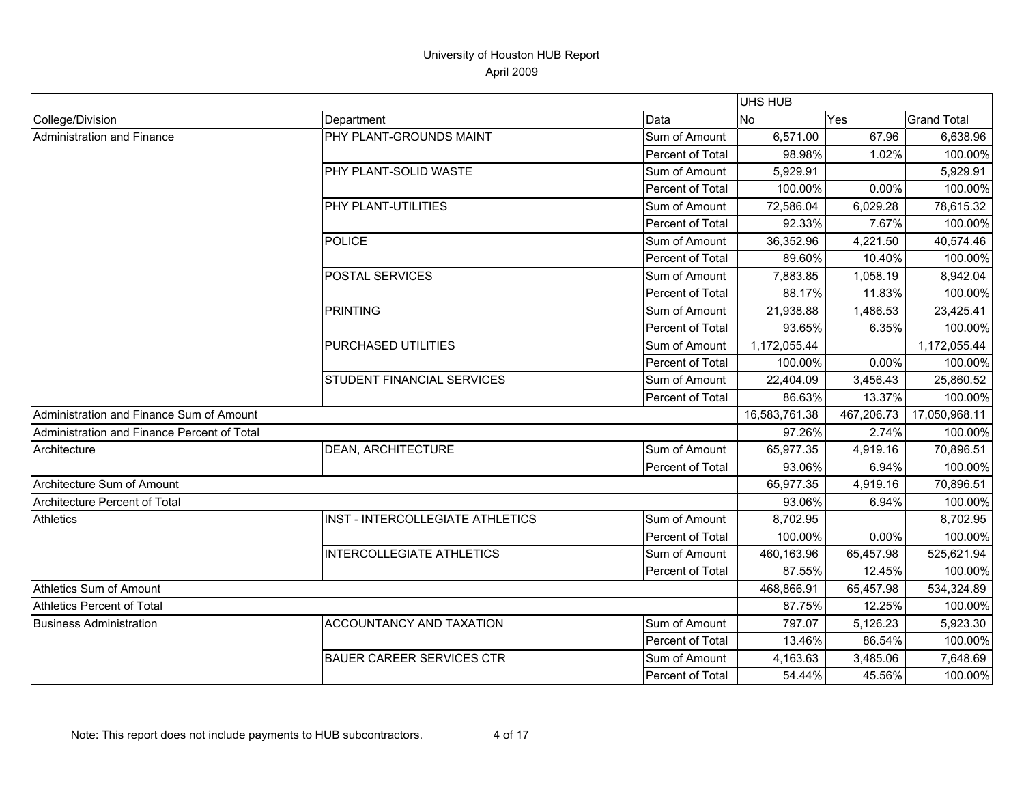|                                             |                                   |                  | <b>UHS HUB</b> |            |                    |
|---------------------------------------------|-----------------------------------|------------------|----------------|------------|--------------------|
| College/Division                            | Department                        | Data             | No             | Yes        | <b>Grand Total</b> |
| Administration and Finance                  | PHY PLANT-GROUNDS MAINT           | Sum of Amount    | 6,571.00       | 67.96      | 6,638.96           |
|                                             |                                   | Percent of Total | 98.98%         | 1.02%      | 100.00%            |
|                                             | PHY PLANT-SOLID WASTE             | Sum of Amount    | 5,929.91       |            | 5,929.91           |
|                                             |                                   | Percent of Total | 100.00%        | 0.00%      | 100.00%            |
|                                             | PHY PLANT-UTILITIES               | Sum of Amount    | 72,586.04      | 6,029.28   | 78,615.32          |
|                                             |                                   | Percent of Total | 92.33%         | 7.67%      | 100.00%            |
|                                             | <b>POLICE</b>                     | Sum of Amount    | 36,352.96      | 4,221.50   | 40,574.46          |
|                                             |                                   | Percent of Total | 89.60%         | 10.40%     | 100.00%            |
|                                             | POSTAL SERVICES                   | Sum of Amount    | 7,883.85       | 1,058.19   | 8,942.04           |
|                                             |                                   | Percent of Total | 88.17%         | 11.83%     | 100.00%            |
|                                             | <b>PRINTING</b>                   | Sum of Amount    | 21,938.88      | 1,486.53   | 23,425.41          |
|                                             |                                   | Percent of Total | 93.65%         | 6.35%      | 100.00%            |
|                                             | PURCHASED UTILITIES               | Sum of Amount    | 1,172,055.44   |            | 1,172,055.44       |
|                                             |                                   | Percent of Total | 100.00%        | 0.00%      | 100.00%            |
|                                             | <b>STUDENT FINANCIAL SERVICES</b> | Sum of Amount    | 22,404.09      | 3,456.43   | 25,860.52          |
|                                             |                                   | Percent of Total | 86.63%         | 13.37%     | 100.00%            |
| Administration and Finance Sum of Amount    |                                   |                  | 16,583,761.38  | 467,206.73 | 17,050,968.11      |
| Administration and Finance Percent of Total |                                   |                  | 97.26%         | 2.74%      | 100.00%            |
| Architecture                                | <b>DEAN, ARCHITECTURE</b>         | Sum of Amount    | 65,977.35      | 4,919.16   | 70,896.51          |
|                                             |                                   | Percent of Total | 93.06%         | 6.94%      | 100.00%            |
| Architecture Sum of Amount                  |                                   |                  | 65,977.35      | 4,919.16   | 70,896.51          |
| Architecture Percent of Total               |                                   |                  | 93.06%         | 6.94%      | 100.00%            |
| Athletics                                   | INST - INTERCOLLEGIATE ATHLETICS  | Sum of Amount    | 8,702.95       |            | 8,702.95           |
|                                             |                                   | Percent of Total | 100.00%        | 0.00%      | 100.00%            |
|                                             | <b>INTERCOLLEGIATE ATHLETICS</b>  | Sum of Amount    | 460,163.96     | 65,457.98  | 525,621.94         |
|                                             |                                   | Percent of Total | 87.55%         | 12.45%     | 100.00%            |
| Athletics Sum of Amount                     |                                   |                  | 468,866.91     | 65,457.98  | 534,324.89         |
| <b>Athletics Percent of Total</b>           |                                   |                  | 87.75%         | 12.25%     | 100.00%            |
| <b>Business Administration</b>              | ACCOUNTANCY AND TAXATION          | Sum of Amount    | 797.07         | 5,126.23   | 5,923.30           |
|                                             |                                   | Percent of Total | 13.46%         | 86.54%     | 100.00%            |
|                                             | <b>BAUER CAREER SERVICES CTR</b>  | Sum of Amount    | 4,163.63       | 3,485.06   | 7,648.69           |
|                                             |                                   | Percent of Total | 54.44%         | 45.56%     | 100.00%            |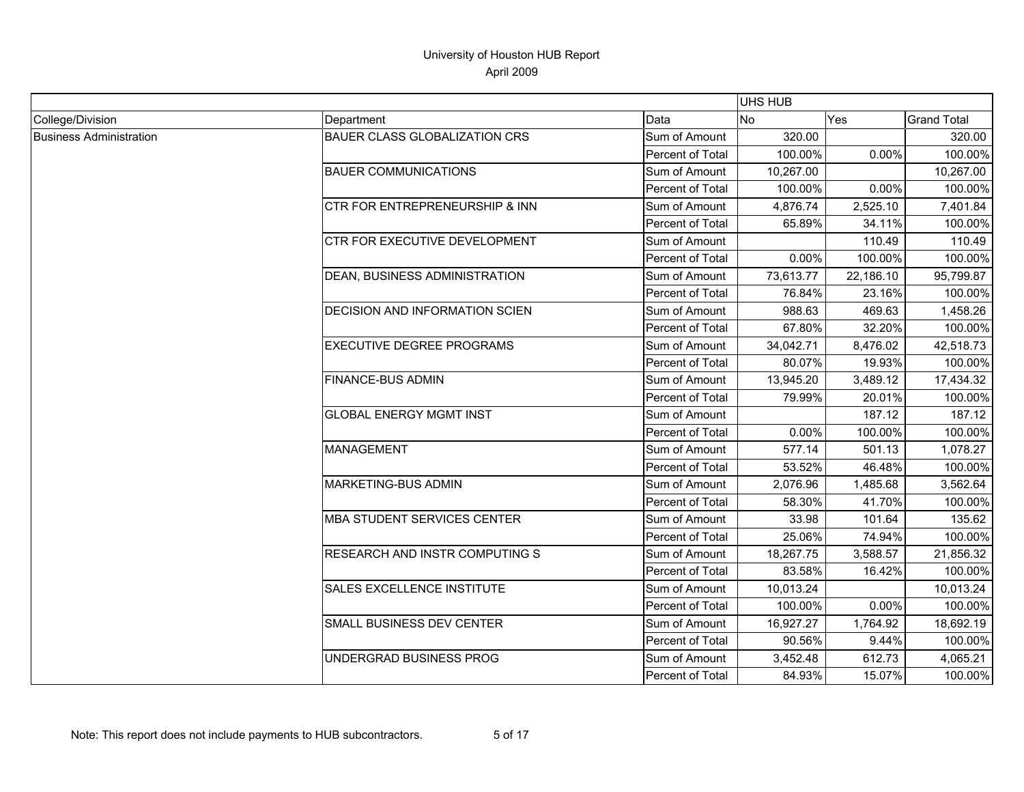|                                |                                           |                  | <b>UHS HUB</b> |           |                    |
|--------------------------------|-------------------------------------------|------------------|----------------|-----------|--------------------|
| College/Division               | Department                                | Data             | <b>No</b>      | Yes       | <b>Grand Total</b> |
| <b>Business Administration</b> | <b>BAUER CLASS GLOBALIZATION CRS</b>      | Sum of Amount    | 320.00         |           | 320.00             |
|                                |                                           | Percent of Total | 100.00%        | 0.00%     | 100.00%            |
|                                | <b>BAUER COMMUNICATIONS</b>               | Sum of Amount    | 10,267.00      |           | 10,267.00          |
|                                |                                           | Percent of Total | 100.00%        | 0.00%     | 100.00%            |
|                                | <b>CTR FOR ENTREPRENEURSHIP &amp; INN</b> | Sum of Amount    | 4,876.74       | 2,525.10  | 7,401.84           |
|                                |                                           | Percent of Total | 65.89%         | 34.11%    | 100.00%            |
|                                | CTR FOR EXECUTIVE DEVELOPMENT             | Sum of Amount    |                | 110.49    | 110.49             |
|                                |                                           | Percent of Total | 0.00%          | 100.00%   | 100.00%            |
|                                | DEAN, BUSINESS ADMINISTRATION             | Sum of Amount    | 73,613.77      | 22,186.10 | 95,799.87          |
|                                |                                           | Percent of Total | 76.84%         | 23.16%    | 100.00%            |
|                                | DECISION AND INFORMATION SCIEN            | Sum of Amount    | 988.63         | 469.63    | 1,458.26           |
|                                |                                           | Percent of Total | 67.80%         | 32.20%    | 100.00%            |
|                                | <b>EXECUTIVE DEGREE PROGRAMS</b>          | Sum of Amount    | 34,042.71      | 8,476.02  | 42,518.73          |
|                                |                                           | Percent of Total | 80.07%         | 19.93%    | 100.00%            |
|                                | <b>FINANCE-BUS ADMIN</b>                  | Sum of Amount    | 13,945.20      | 3,489.12  | 17,434.32          |
|                                |                                           | Percent of Total | 79.99%         | 20.01%    | 100.00%            |
|                                | <b>GLOBAL ENERGY MGMT INST</b>            | Sum of Amount    |                | 187.12    | 187.12             |
|                                |                                           | Percent of Total | 0.00%          | 100.00%   | 100.00%            |
|                                | <b>MANAGEMENT</b>                         | Sum of Amount    | 577.14         | 501.13    | 1,078.27           |
|                                |                                           | Percent of Total | 53.52%         | 46.48%    | 100.00%            |
|                                | MARKETING-BUS ADMIN                       | Sum of Amount    | 2,076.96       | 1,485.68  | 3,562.64           |
|                                |                                           | Percent of Total | 58.30%         | 41.70%    | 100.00%            |
|                                | <b>MBA STUDENT SERVICES CENTER</b>        | Sum of Amount    | 33.98          | 101.64    | 135.62             |
|                                |                                           | Percent of Total | 25.06%         | 74.94%    | 100.00%            |
|                                | RESEARCH AND INSTR COMPUTING S            | Sum of Amount    | 18,267.75      | 3,588.57  | 21,856.32          |
|                                |                                           | Percent of Total | 83.58%         | 16.42%    | 100.00%            |
|                                | SALES EXCELLENCE INSTITUTE                | Sum of Amount    | 10,013.24      |           | 10,013.24          |
|                                |                                           | Percent of Total | 100.00%        | 0.00%     | 100.00%            |
|                                | SMALL BUSINESS DEV CENTER                 | Sum of Amount    | 16,927.27      | 1,764.92  | 18,692.19          |
|                                |                                           | Percent of Total | 90.56%         | 9.44%     | 100.00%            |
|                                | UNDERGRAD BUSINESS PROG                   | Sum of Amount    | 3,452.48       | 612.73    | 4,065.21           |
|                                |                                           | Percent of Total | 84.93%         | 15.07%    | 100.00%            |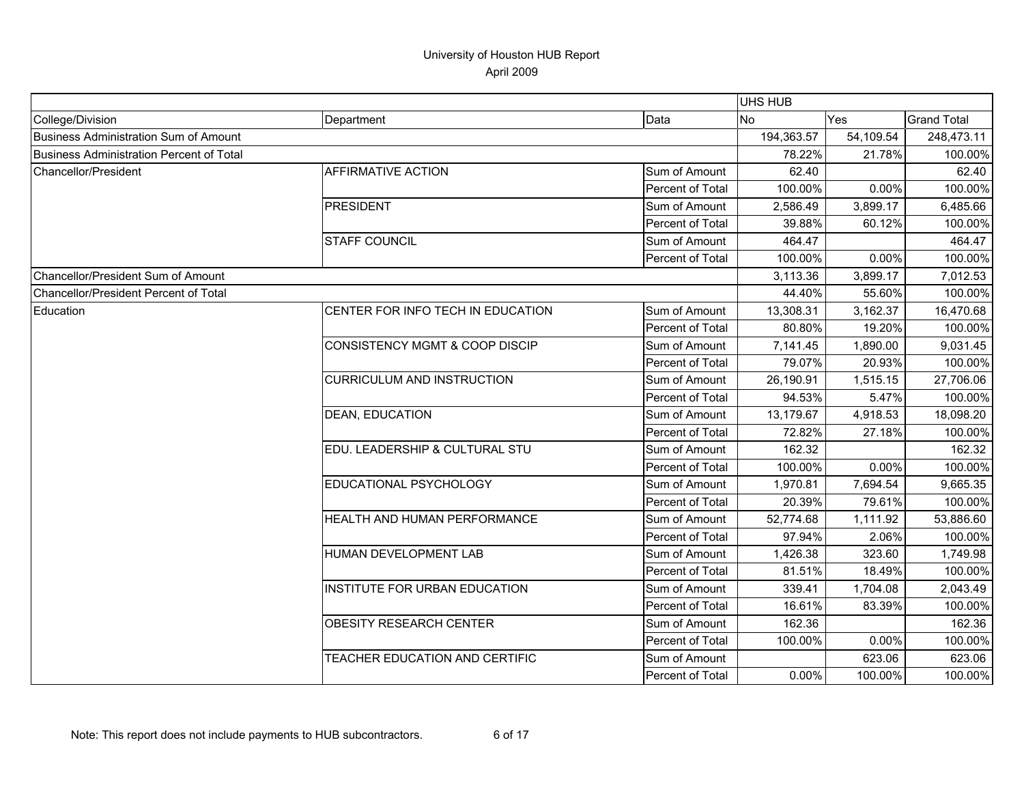|                                                 |                                           |                  | UHS HUB    |           |                    |
|-------------------------------------------------|-------------------------------------------|------------------|------------|-----------|--------------------|
| College/Division                                | Department                                | Data             | <b>No</b>  | Yes       | <b>Grand Total</b> |
| <b>Business Administration Sum of Amount</b>    |                                           |                  | 194,363.57 | 54,109.54 | 248,473.11         |
| <b>Business Administration Percent of Total</b> |                                           |                  | 78.22%     | 21.78%    | 100.00%            |
| Chancellor/President                            | <b>AFFIRMATIVE ACTION</b>                 | Sum of Amount    | 62.40      |           | 62.40              |
|                                                 |                                           | Percent of Total | 100.00%    | 0.00%     | 100.00%            |
|                                                 | <b>PRESIDENT</b>                          | Sum of Amount    | 2,586.49   | 3,899.17  | 6,485.66           |
|                                                 |                                           | Percent of Total | 39.88%     | 60.12%    | 100.00%            |
|                                                 | <b>STAFF COUNCIL</b>                      | Sum of Amount    | 464.47     |           | 464.47             |
|                                                 |                                           | Percent of Total | 100.00%    | 0.00%     | 100.00%            |
| Chancellor/President Sum of Amount              |                                           |                  | 3,113.36   | 3,899.17  | 7,012.53           |
| Chancellor/President Percent of Total           |                                           |                  | 44.40%     | 55.60%    | 100.00%            |
| Education                                       | CENTER FOR INFO TECH IN EDUCATION         | Sum of Amount    | 13,308.31  | 3,162.37  | 16,470.68          |
|                                                 |                                           | Percent of Total | 80.80%     | 19.20%    | 100.00%            |
|                                                 | <b>CONSISTENCY MGMT &amp; COOP DISCIP</b> | Sum of Amount    | 7,141.45   | 1,890.00  | 9,031.45           |
|                                                 |                                           | Percent of Total | 79.07%     | 20.93%    | 100.00%            |
|                                                 | <b>CURRICULUM AND INSTRUCTION</b>         | Sum of Amount    | 26,190.91  | 1,515.15  | 27,706.06          |
|                                                 |                                           | Percent of Total | 94.53%     | 5.47%     | 100.00%            |
|                                                 | <b>DEAN, EDUCATION</b>                    | Sum of Amount    | 13,179.67  | 4,918.53  | 18,098.20          |
|                                                 |                                           | Percent of Total | 72.82%     | 27.18%    | 100.00%            |
|                                                 | EDU. LEADERSHIP & CULTURAL STU            | Sum of Amount    | 162.32     |           | 162.32             |
|                                                 |                                           | Percent of Total | 100.00%    | 0.00%     | 100.00%            |
|                                                 | EDUCATIONAL PSYCHOLOGY                    | Sum of Amount    | 1,970.81   | 7,694.54  | 9,665.35           |
|                                                 |                                           | Percent of Total | 20.39%     | 79.61%    | 100.00%            |
|                                                 | HEALTH AND HUMAN PERFORMANCE              | Sum of Amount    | 52,774.68  | 1,111.92  | 53,886.60          |
|                                                 |                                           | Percent of Total | 97.94%     | 2.06%     | 100.00%            |
|                                                 | HUMAN DEVELOPMENT LAB                     | Sum of Amount    | 1,426.38   | 323.60    | 1,749.98           |
|                                                 |                                           | Percent of Total | 81.51%     | 18.49%    | 100.00%            |
|                                                 | INSTITUTE FOR URBAN EDUCATION             | Sum of Amount    | 339.41     | 1,704.08  | 2,043.49           |
|                                                 |                                           | Percent of Total | 16.61%     | 83.39%    | 100.00%            |
|                                                 | <b>OBESITY RESEARCH CENTER</b>            | Sum of Amount    | 162.36     |           | 162.36             |
|                                                 |                                           | Percent of Total | 100.00%    | 0.00%     | 100.00%            |
|                                                 | TEACHER EDUCATION AND CERTIFIC            | Sum of Amount    |            | 623.06    | 623.06             |
|                                                 |                                           | Percent of Total | 0.00%      | 100.00%   | 100.00%            |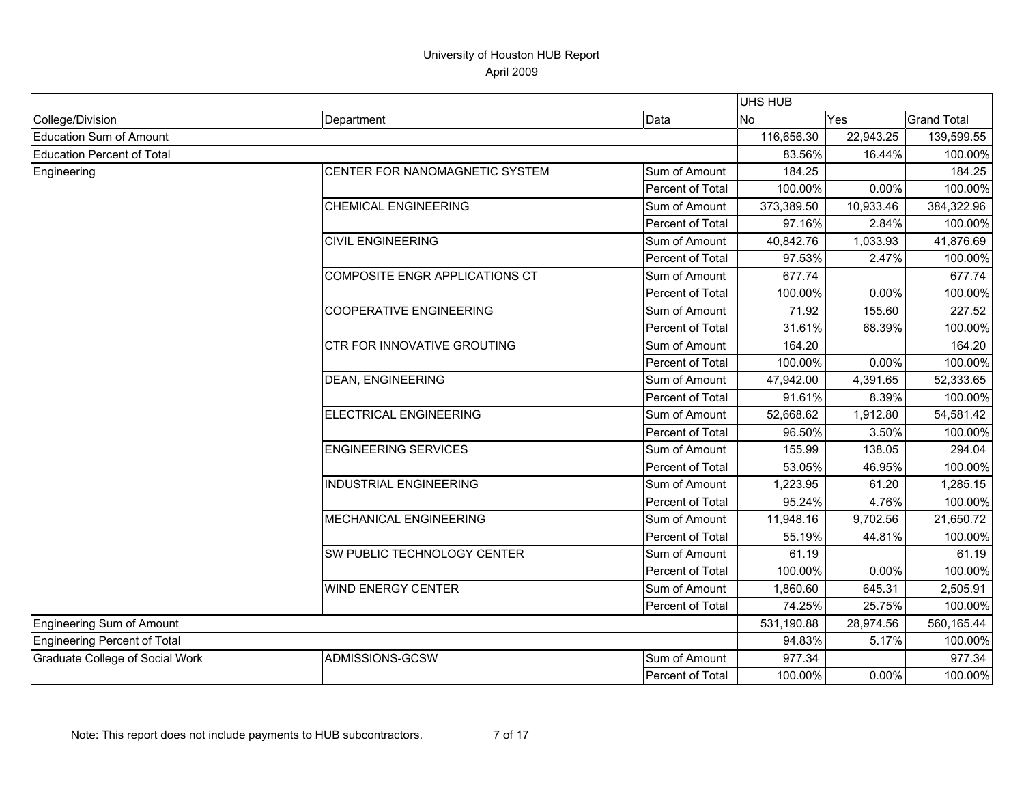|                                 |                                    |                  | UHS HUB    |           |                    |
|---------------------------------|------------------------------------|------------------|------------|-----------|--------------------|
| College/Division                | Department                         | Data             | <b>No</b>  | Yes       | <b>Grand Total</b> |
| Education Sum of Amount         |                                    |                  | 116,656.30 | 22,943.25 | 139,599.55         |
| Education Percent of Total      |                                    |                  | 83.56%     | 16.44%    | 100.00%            |
| Engineering                     | CENTER FOR NANOMAGNETIC SYSTEM     | Sum of Amount    | 184.25     |           | 184.25             |
|                                 |                                    | Percent of Total | 100.00%    | 0.00%     | 100.00%            |
|                                 | <b>CHEMICAL ENGINEERING</b>        | Sum of Amount    | 373,389.50 | 10,933.46 | 384,322.96         |
|                                 |                                    | Percent of Total | 97.16%     | 2.84%     | 100.00%            |
|                                 | <b>CIVIL ENGINEERING</b>           | Sum of Amount    | 40,842.76  | 1,033.93  | 41,876.69          |
|                                 |                                    | Percent of Total | 97.53%     | 2.47%     | 100.00%            |
|                                 | COMPOSITE ENGR APPLICATIONS CT     | Sum of Amount    | 677.74     |           | 677.74             |
|                                 |                                    | Percent of Total | 100.00%    | 0.00%     | 100.00%            |
|                                 | <b>COOPERATIVE ENGINEERING</b>     | Sum of Amount    | 71.92      | 155.60    | 227.52             |
|                                 |                                    | Percent of Total | 31.61%     | 68.39%    | 100.00%            |
|                                 | <b>CTR FOR INNOVATIVE GROUTING</b> | Sum of Amount    | 164.20     |           | 164.20             |
|                                 |                                    | Percent of Total | 100.00%    | 0.00%     | 100.00%            |
|                                 | <b>DEAN, ENGINEERING</b>           | Sum of Amount    | 47,942.00  | 4,391.65  | 52,333.65          |
|                                 |                                    | Percent of Total | 91.61%     | 8.39%     | 100.00%            |
|                                 | ELECTRICAL ENGINEERING             | Sum of Amount    | 52,668.62  | 1,912.80  | 54,581.42          |
|                                 |                                    | Percent of Total | 96.50%     | 3.50%     | 100.00%            |
|                                 | <b>ENGINEERING SERVICES</b>        | Sum of Amount    | 155.99     | 138.05    | 294.04             |
|                                 |                                    | Percent of Total | 53.05%     | 46.95%    | 100.00%            |
|                                 | <b>INDUSTRIAL ENGINEERING</b>      | Sum of Amount    | 1,223.95   | 61.20     | 1,285.15           |
|                                 |                                    | Percent of Total | 95.24%     | 4.76%     | 100.00%            |
|                                 | MECHANICAL ENGINEERING             | Sum of Amount    | 11,948.16  | 9,702.56  | 21,650.72          |
|                                 |                                    | Percent of Total | 55.19%     | 44.81%    | 100.00%            |
|                                 | SW PUBLIC TECHNOLOGY CENTER        | Sum of Amount    | 61.19      |           | 61.19              |
|                                 |                                    | Percent of Total | 100.00%    | 0.00%     | 100.00%            |
|                                 | <b>WIND ENERGY CENTER</b>          | Sum of Amount    | 1,860.60   | 645.31    | 2,505.91           |
|                                 |                                    | Percent of Total | 74.25%     | 25.75%    | 100.00%            |
| Engineering Sum of Amount       |                                    |                  | 531,190.88 | 28,974.56 | 560,165.44         |
| Engineering Percent of Total    |                                    |                  | 94.83%     | 5.17%     | 100.00%            |
| Graduate College of Social Work | ADMISSIONS-GCSW                    | Sum of Amount    | 977.34     |           | 977.34             |
|                                 |                                    | Percent of Total | 100.00%    | 0.00%     | 100.00%            |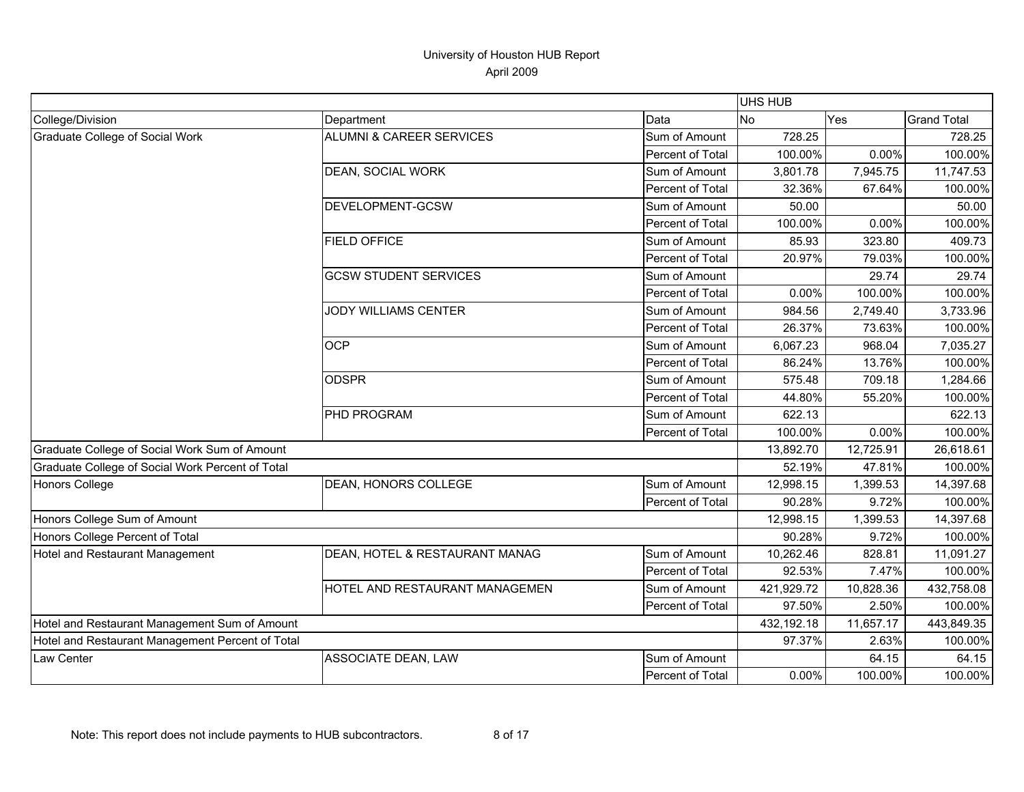|                                                  |                                     |                  | UHS HUB    |           |                    |
|--------------------------------------------------|-------------------------------------|------------------|------------|-----------|--------------------|
| College/Division                                 | Department                          | Data             | <b>No</b>  | Yes       | <b>Grand Total</b> |
| Graduate College of Social Work                  | <b>ALUMNI &amp; CAREER SERVICES</b> | Sum of Amount    | 728.25     |           | 728.25             |
|                                                  |                                     | Percent of Total | 100.00%    | 0.00%     | 100.00%            |
|                                                  | DEAN, SOCIAL WORK                   | Sum of Amount    | 3,801.78   | 7,945.75  | 11,747.53          |
|                                                  |                                     | Percent of Total | 32.36%     | 67.64%    | 100.00%            |
|                                                  | DEVELOPMENT-GCSW                    | Sum of Amount    | 50.00      |           | 50.00              |
|                                                  |                                     | Percent of Total | 100.00%    | 0.00%     | 100.00%            |
|                                                  | <b>FIELD OFFICE</b>                 | Sum of Amount    | 85.93      | 323.80    | 409.73             |
|                                                  |                                     | Percent of Total | 20.97%     | 79.03%    | 100.00%            |
|                                                  | <b>GCSW STUDENT SERVICES</b>        | Sum of Amount    |            | 29.74     | 29.74              |
|                                                  |                                     | Percent of Total | 0.00%      | 100.00%   | 100.00%            |
|                                                  | <b>JODY WILLIAMS CENTER</b>         | Sum of Amount    | 984.56     | 2,749.40  | 3,733.96           |
|                                                  |                                     | Percent of Total | 26.37%     | 73.63%    | 100.00%            |
|                                                  | <b>OCP</b>                          | Sum of Amount    | 6,067.23   | 968.04    | 7,035.27           |
|                                                  |                                     | Percent of Total | 86.24%     | 13.76%    | 100.00%            |
|                                                  | <b>ODSPR</b>                        | Sum of Amount    | 575.48     | 709.18    | 1,284.66           |
|                                                  |                                     | Percent of Total | 44.80%     | 55.20%    | 100.00%            |
|                                                  | <b>PHD PROGRAM</b>                  | Sum of Amount    | 622.13     |           | 622.13             |
|                                                  |                                     | Percent of Total | 100.00%    | 0.00%     | 100.00%            |
| Graduate College of Social Work Sum of Amount    |                                     |                  | 13,892.70  | 12,725.91 | 26,618.61          |
| Graduate College of Social Work Percent of Total |                                     |                  | 52.19%     | 47.81%    | 100.00%            |
| <b>Honors College</b>                            | DEAN, HONORS COLLEGE                | Sum of Amount    | 12,998.15  | 1,399.53  | 14,397.68          |
|                                                  |                                     | Percent of Total | 90.28%     | 9.72%     | 100.00%            |
| Honors College Sum of Amount                     |                                     |                  | 12,998.15  | 1,399.53  | 14,397.68          |
| Honors College Percent of Total                  |                                     |                  | 90.28%     | 9.72%     | 100.00%            |
| Hotel and Restaurant Management                  | DEAN, HOTEL & RESTAURANT MANAG      | Sum of Amount    | 10,262.46  | 828.81    | 11,091.27          |
|                                                  |                                     | Percent of Total | 92.53%     | 7.47%     | 100.00%            |
|                                                  | HOTEL AND RESTAURANT MANAGEMEN      | Sum of Amount    | 421,929.72 | 10,828.36 | 432,758.08         |
|                                                  |                                     | Percent of Total | 97.50%     | 2.50%     | 100.00%            |
| Hotel and Restaurant Management Sum of Amount    |                                     |                  | 432,192.18 | 11,657.17 | 443,849.35         |
| Hotel and Restaurant Management Percent of Total |                                     |                  | 97.37%     | 2.63%     | 100.00%            |
| Law Center                                       | ASSOCIATE DEAN, LAW                 | Sum of Amount    |            | 64.15     | 64.15              |
|                                                  |                                     | Percent of Total | 0.00%      | 100.00%   | 100.00%            |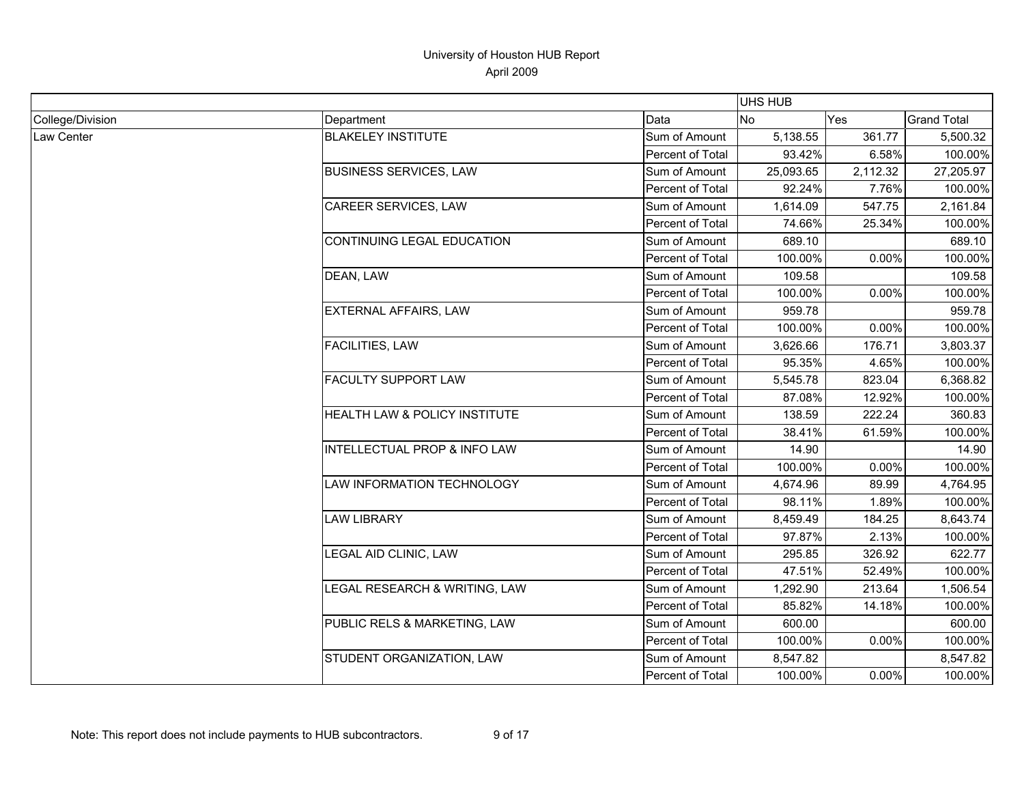|                  |                               |                  | <b>UHS HUB</b> |          |                    |
|------------------|-------------------------------|------------------|----------------|----------|--------------------|
| College/Division | Department                    | Data             | <b>No</b>      | Yes      | <b>Grand Total</b> |
| Law Center       | <b>BLAKELEY INSTITUTE</b>     | Sum of Amount    | 5,138.55       | 361.77   | 5,500.32           |
|                  |                               | Percent of Total | 93.42%         | 6.58%    | 100.00%            |
|                  | <b>BUSINESS SERVICES, LAW</b> | Sum of Amount    | 25,093.65      | 2,112.32 | 27,205.97          |
|                  |                               | Percent of Total | 92.24%         | 7.76%    | 100.00%            |
|                  | CAREER SERVICES, LAW          | Sum of Amount    | 1,614.09       | 547.75   | 2,161.84           |
|                  |                               | Percent of Total | 74.66%         | 25.34%   | 100.00%            |
|                  | CONTINUING LEGAL EDUCATION    | Sum of Amount    | 689.10         |          | 689.10             |
|                  |                               | Percent of Total | 100.00%        | 0.00%    | 100.00%            |
|                  | DEAN, LAW                     | Sum of Amount    | 109.58         |          | 109.58             |
|                  |                               | Percent of Total | 100.00%        | 0.00%    | 100.00%            |
|                  | EXTERNAL AFFAIRS, LAW         | Sum of Amount    | 959.78         |          | 959.78             |
|                  |                               | Percent of Total | 100.00%        | 0.00%    | 100.00%            |
|                  | FACILITIES, LAW               | Sum of Amount    | 3,626.66       | 176.71   | 3,803.37           |
|                  |                               | Percent of Total | 95.35%         | 4.65%    | 100.00%            |
|                  | <b>FACULTY SUPPORT LAW</b>    | Sum of Amount    | 5,545.78       | 823.04   | 6,368.82           |
|                  |                               | Percent of Total | 87.08%         | 12.92%   | 100.00%            |
|                  | HEALTH LAW & POLICY INSTITUTE | Sum of Amount    | 138.59         | 222.24   | 360.83             |
|                  |                               | Percent of Total | 38.41%         | 61.59%   | 100.00%            |
|                  | INTELLECTUAL PROP & INFO LAW  | Sum of Amount    | 14.90          |          | 14.90              |
|                  |                               | Percent of Total | 100.00%        | 0.00%    | 100.00%            |
|                  | LAW INFORMATION TECHNOLOGY    | Sum of Amount    | 4,674.96       | 89.99    | 4,764.95           |
|                  |                               | Percent of Total | 98.11%         | 1.89%    | 100.00%            |
|                  | <b>LAW LIBRARY</b>            | Sum of Amount    | 8,459.49       | 184.25   | 8,643.74           |
|                  |                               | Percent of Total | 97.87%         | 2.13%    | 100.00%            |
|                  | LEGAL AID CLINIC, LAW         | Sum of Amount    | 295.85         | 326.92   | 622.77             |
|                  |                               | Percent of Total | 47.51%         | 52.49%   | 100.00%            |
|                  | LEGAL RESEARCH & WRITING, LAW | Sum of Amount    | 1,292.90       | 213.64   | 1,506.54           |
|                  |                               | Percent of Total | 85.82%         | 14.18%   | 100.00%            |
|                  | PUBLIC RELS & MARKETING, LAW  | Sum of Amount    | 600.00         |          | 600.00             |
|                  |                               | Percent of Total | 100.00%        | 0.00%    | 100.00%            |
|                  | STUDENT ORGANIZATION, LAW     | Sum of Amount    | 8,547.82       |          | 8,547.82           |
|                  |                               | Percent of Total | 100.00%        | 0.00%    | 100.00%            |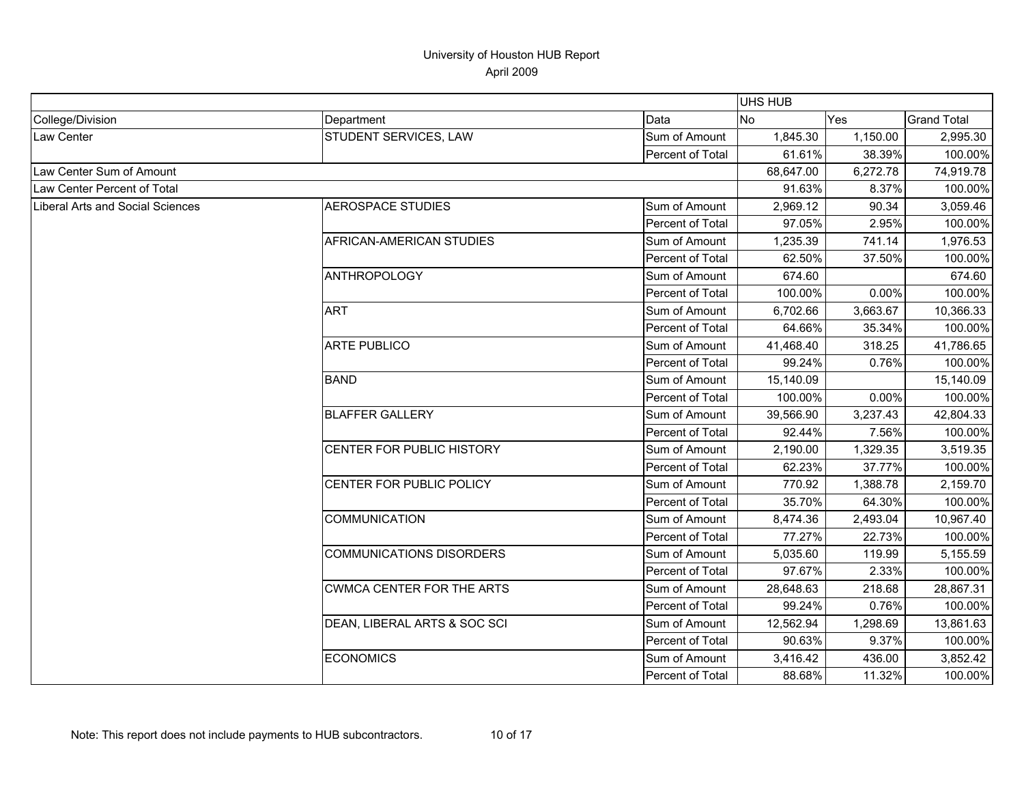|                                         |                                 |                         | UHS HUB   |            |                    |
|-----------------------------------------|---------------------------------|-------------------------|-----------|------------|--------------------|
| College/Division                        | Department                      | Data                    | <b>No</b> | <b>Yes</b> | <b>Grand Total</b> |
| <b>Law Center</b>                       | STUDENT SERVICES, LAW           | Sum of Amount           | 1,845.30  | 1,150.00   | 2,995.30           |
|                                         |                                 | Percent of Total        | 61.61%    | 38.39%     | 100.00%            |
| Law Center Sum of Amount                |                                 |                         | 68,647.00 | 6,272.78   | 74,919.78          |
| Law Center Percent of Total             |                                 |                         | 91.63%    | 8.37%      | 100.00%            |
| <b>Liberal Arts and Social Sciences</b> | <b>AEROSPACE STUDIES</b>        | Sum of Amount           | 2,969.12  | 90.34      | 3,059.46           |
|                                         |                                 | Percent of Total        | 97.05%    | 2.95%      | 100.00%            |
|                                         | AFRICAN-AMERICAN STUDIES        | Sum of Amount           | 1,235.39  | 741.14     | 1,976.53           |
|                                         |                                 | Percent of Total        | 62.50%    | 37.50%     | 100.00%            |
|                                         | <b>ANTHROPOLOGY</b>             | Sum of Amount           | 674.60    |            | 674.60             |
|                                         |                                 | Percent of Total        | 100.00%   | 0.00%      | 100.00%            |
|                                         | <b>ART</b>                      | Sum of Amount           | 6,702.66  | 3,663.67   | 10,366.33          |
|                                         |                                 | Percent of Total        | 64.66%    | 35.34%     | 100.00%            |
|                                         | <b>ARTE PUBLICO</b>             | Sum of Amount           | 41,468.40 | 318.25     | 41,786.65          |
|                                         |                                 | Percent of Total        | 99.24%    | 0.76%      | 100.00%            |
|                                         | <b>BAND</b>                     | Sum of Amount           | 15,140.09 |            | 15,140.09          |
|                                         |                                 | Percent of Total        | 100.00%   | 0.00%      | 100.00%            |
|                                         | <b>BLAFFER GALLERY</b>          | Sum of Amount           | 39,566.90 | 3,237.43   | 42,804.33          |
|                                         |                                 | Percent of Total        | 92.44%    | 7.56%      | 100.00%            |
|                                         | CENTER FOR PUBLIC HISTORY       | Sum of Amount           | 2,190.00  | 1,329.35   | 3,519.35           |
|                                         |                                 | <b>Percent of Total</b> | 62.23%    | 37.77%     | 100.00%            |
|                                         | CENTER FOR PUBLIC POLICY        | Sum of Amount           | 770.92    | 1,388.78   | 2,159.70           |
|                                         |                                 | Percent of Total        | 35.70%    | 64.30%     | 100.00%            |
|                                         | <b>COMMUNICATION</b>            | Sum of Amount           | 8,474.36  | 2,493.04   | 10,967.40          |
|                                         |                                 | Percent of Total        | 77.27%    | 22.73%     | 100.00%            |
|                                         | <b>COMMUNICATIONS DISORDERS</b> | Sum of Amount           | 5,035.60  | 119.99     | 5,155.59           |
|                                         |                                 | Percent of Total        | 97.67%    | 2.33%      | 100.00%            |
|                                         | CWMCA CENTER FOR THE ARTS       | Sum of Amount           | 28,648.63 | 218.68     | 28,867.31          |
|                                         |                                 | Percent of Total        | 99.24%    | 0.76%      | 100.00%            |
|                                         | DEAN, LIBERAL ARTS & SOC SCI    | Sum of Amount           | 12,562.94 | 1,298.69   | 13,861.63          |
|                                         |                                 | Percent of Total        | 90.63%    | 9.37%      | 100.00%            |
|                                         | <b>ECONOMICS</b>                | Sum of Amount           | 3,416.42  | 436.00     | 3,852.42           |
|                                         |                                 | Percent of Total        | 88.68%    | 11.32%     | 100.00%            |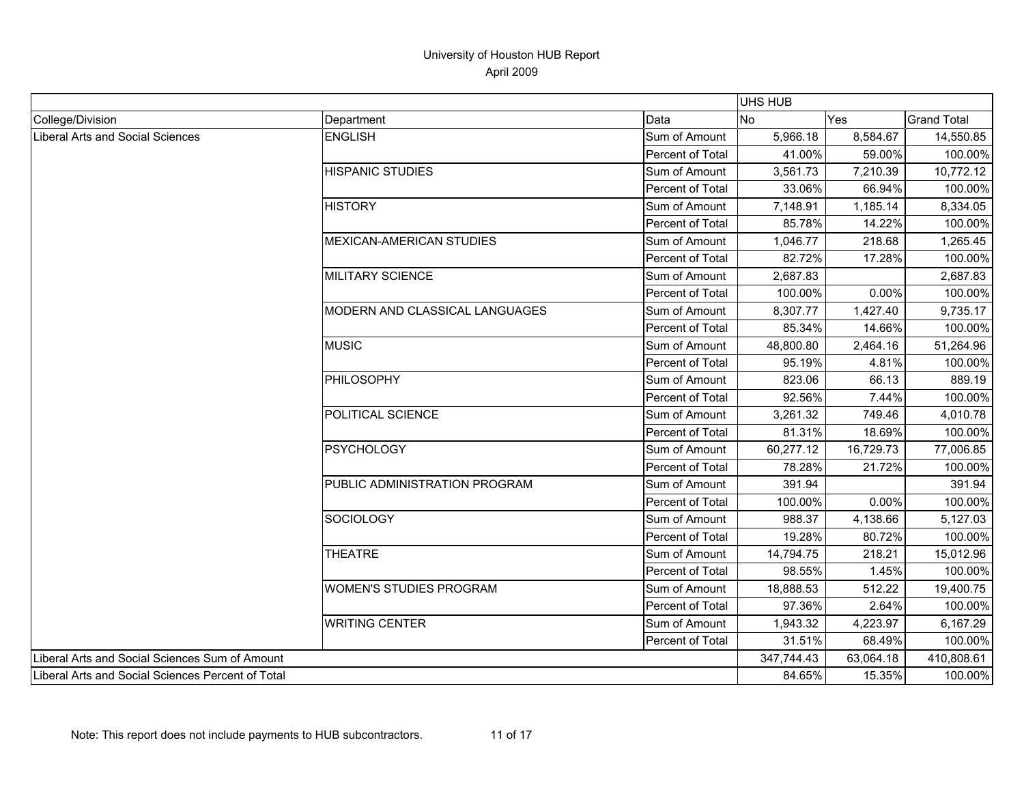|                                                   |                                 |                  | <b>UHS HUB</b> |           |                    |
|---------------------------------------------------|---------------------------------|------------------|----------------|-----------|--------------------|
| College/Division                                  | Department                      | Data             | <b>No</b>      | Yes       | <b>Grand Total</b> |
| <b>Liberal Arts and Social Sciences</b>           | <b>ENGLISH</b>                  | Sum of Amount    | 5,966.18       | 8,584.67  | 14,550.85          |
|                                                   |                                 | Percent of Total | 41.00%         | 59.00%    | 100.00%            |
|                                                   | <b>HISPANIC STUDIES</b>         | Sum of Amount    | 3,561.73       | 7,210.39  | 10,772.12          |
|                                                   |                                 | Percent of Total | 33.06%         | 66.94%    | 100.00%            |
|                                                   | <b>HISTORY</b>                  | Sum of Amount    | 7,148.91       | 1,185.14  | 8,334.05           |
|                                                   |                                 | Percent of Total | 85.78%         | 14.22%    | 100.00%            |
|                                                   | <b>MEXICAN-AMERICAN STUDIES</b> | Sum of Amount    | 1,046.77       | 218.68    | 1,265.45           |
|                                                   |                                 | Percent of Total | 82.72%         | 17.28%    | 100.00%            |
|                                                   | <b>MILITARY SCIENCE</b>         | Sum of Amount    | 2,687.83       |           | 2,687.83           |
|                                                   |                                 | Percent of Total | 100.00%        | 0.00%     | 100.00%            |
|                                                   | MODERN AND CLASSICAL LANGUAGES  | Sum of Amount    | 8,307.77       | 1,427.40  | 9,735.17           |
|                                                   |                                 | Percent of Total | 85.34%         | 14.66%    | 100.00%            |
|                                                   | <b>MUSIC</b>                    | Sum of Amount    | 48,800.80      | 2,464.16  | 51,264.96          |
|                                                   |                                 | Percent of Total | 95.19%         | 4.81%     | 100.00%            |
|                                                   | PHILOSOPHY                      | Sum of Amount    | 823.06         | 66.13     | 889.19             |
|                                                   |                                 | Percent of Total | 92.56%         | 7.44%     | 100.00%            |
|                                                   | POLITICAL SCIENCE               | Sum of Amount    | 3,261.32       | 749.46    | 4,010.78           |
|                                                   |                                 | Percent of Total | 81.31%         | 18.69%    | 100.00%            |
|                                                   | <b>PSYCHOLOGY</b>               | Sum of Amount    | 60,277.12      | 16,729.73 | 77,006.85          |
|                                                   |                                 | Percent of Total | 78.28%         | 21.72%    | 100.00%            |
|                                                   | PUBLIC ADMINISTRATION PROGRAM   | Sum of Amount    | 391.94         |           | 391.94             |
|                                                   |                                 | Percent of Total | 100.00%        | 0.00%     | 100.00%            |
|                                                   | <b>SOCIOLOGY</b>                | Sum of Amount    | 988.37         | 4,138.66  | 5,127.03           |
|                                                   |                                 | Percent of Total | 19.28%         | 80.72%    | 100.00%            |
|                                                   | <b>THEATRE</b>                  | Sum of Amount    | 14,794.75      | 218.21    | 15,012.96          |
|                                                   |                                 | Percent of Total | 98.55%         | 1.45%     | 100.00%            |
|                                                   | <b>WOMEN'S STUDIES PROGRAM</b>  | Sum of Amount    | 18,888.53      | 512.22    | 19,400.75          |
|                                                   |                                 | Percent of Total | 97.36%         | 2.64%     | 100.00%            |
|                                                   | <b>WRITING CENTER</b>           | Sum of Amount    | 1,943.32       | 4,223.97  | 6,167.29           |
|                                                   |                                 | Percent of Total | 31.51%         | 68.49%    | 100.00%            |
| Liberal Arts and Social Sciences Sum of Amount    |                                 |                  | 347,744.43     | 63,064.18 | 410,808.61         |
| Liberal Arts and Social Sciences Percent of Total |                                 | 84.65%           | 15.35%         | 100.00%   |                    |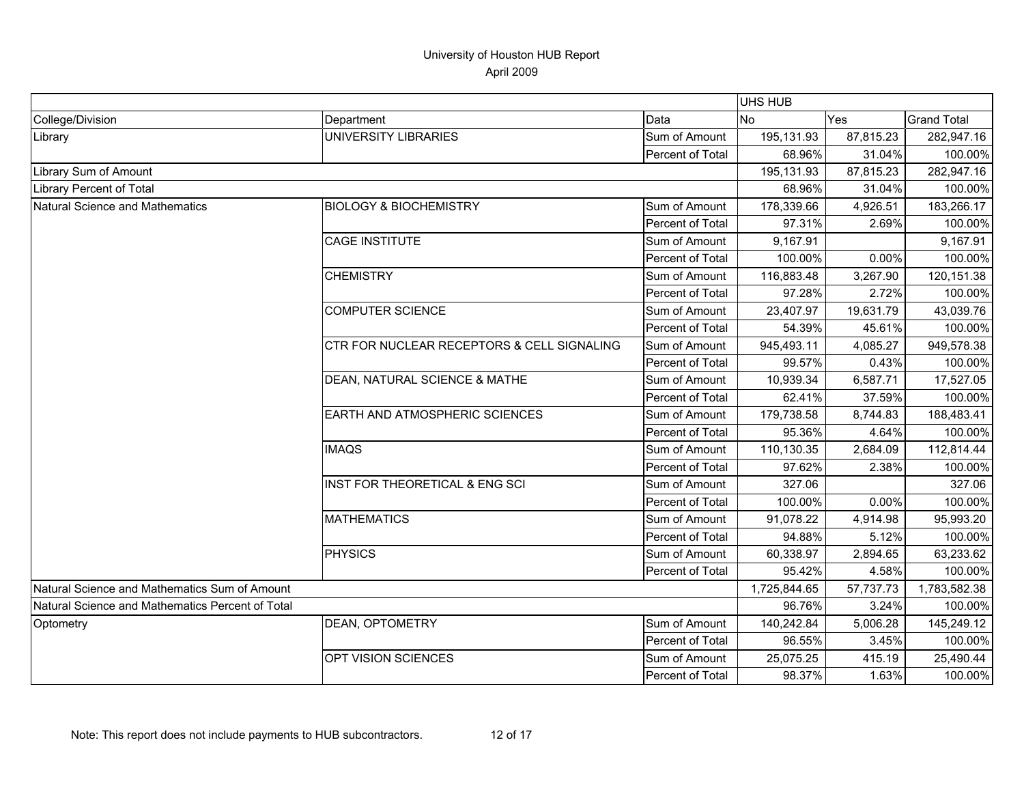|                                                  |                                            |                  | <b>UHS HUB</b> |           |                    |
|--------------------------------------------------|--------------------------------------------|------------------|----------------|-----------|--------------------|
| College/Division                                 | Department                                 | Data             | No             | Yes       | <b>Grand Total</b> |
| Library                                          | <b>UNIVERSITY LIBRARIES</b>                | Sum of Amount    | 195,131.93     | 87,815.23 | 282,947.16         |
|                                                  |                                            | Percent of Total | 68.96%         | 31.04%    | 100.00%            |
| Library Sum of Amount                            |                                            |                  | 195,131.93     | 87,815.23 | 282,947.16         |
| Library Percent of Total                         |                                            |                  | 68.96%         | 31.04%    | 100.00%            |
| Natural Science and Mathematics                  | <b>BIOLOGY &amp; BIOCHEMISTRY</b>          | Sum of Amount    | 178,339.66     | 4,926.51  | 183,266.17         |
|                                                  |                                            | Percent of Total | 97.31%         | 2.69%     | 100.00%            |
|                                                  | <b>CAGE INSTITUTE</b>                      | Sum of Amount    | 9,167.91       |           | 9,167.91           |
|                                                  |                                            | Percent of Total | 100.00%        | 0.00%     | 100.00%            |
|                                                  | <b>CHEMISTRY</b>                           | Sum of Amount    | 116,883.48     | 3,267.90  | 120,151.38         |
|                                                  |                                            | Percent of Total | 97.28%         | 2.72%     | 100.00%            |
|                                                  | <b>COMPUTER SCIENCE</b>                    | Sum of Amount    | 23,407.97      | 19,631.79 | 43,039.76          |
|                                                  |                                            | Percent of Total | 54.39%         | 45.61%    | 100.00%            |
|                                                  | CTR FOR NUCLEAR RECEPTORS & CELL SIGNALING | Sum of Amount    | 945,493.11     | 4,085.27  | 949,578.38         |
|                                                  |                                            | Percent of Total | 99.57%         | 0.43%     | 100.00%            |
|                                                  | DEAN, NATURAL SCIENCE & MATHE              | Sum of Amount    | 10,939.34      | 6,587.71  | 17,527.05          |
|                                                  |                                            | Percent of Total | 62.41%         | 37.59%    | 100.00%            |
|                                                  | EARTH AND ATMOSPHERIC SCIENCES             | Sum of Amount    | 179,738.58     | 8,744.83  | 188,483.41         |
|                                                  |                                            | Percent of Total | 95.36%         | 4.64%     | 100.00%            |
|                                                  | <b>IMAQS</b>                               | Sum of Amount    | 110,130.35     | 2,684.09  | 112,814.44         |
|                                                  |                                            | Percent of Total | 97.62%         | 2.38%     | 100.00%            |
|                                                  | INST FOR THEORETICAL & ENG SCI             | Sum of Amount    | 327.06         |           | 327.06             |
|                                                  |                                            | Percent of Total | 100.00%        | 0.00%     | 100.00%            |
|                                                  | <b>MATHEMATICS</b>                         | Sum of Amount    | 91,078.22      | 4,914.98  | 95,993.20          |
|                                                  |                                            | Percent of Total | 94.88%         | 5.12%     | 100.00%            |
|                                                  | <b>PHYSICS</b>                             | Sum of Amount    | 60,338.97      | 2,894.65  | 63,233.62          |
|                                                  |                                            | Percent of Total | 95.42%         | 4.58%     | 100.00%            |
| Natural Science and Mathematics Sum of Amount    |                                            |                  | 1,725,844.65   | 57,737.73 | 1,783,582.38       |
| Natural Science and Mathematics Percent of Total |                                            |                  | 96.76%         | 3.24%     | 100.00%            |
| Optometry                                        | <b>DEAN, OPTOMETRY</b>                     | Sum of Amount    | 140,242.84     | 5,006.28  | 145,249.12         |
|                                                  |                                            | Percent of Total | 96.55%         | 3.45%     | 100.00%            |
|                                                  | OPT VISION SCIENCES                        | Sum of Amount    | 25,075.25      | 415.19    | 25,490.44          |
|                                                  |                                            | Percent of Total | 98.37%         | 1.63%     | 100.00%            |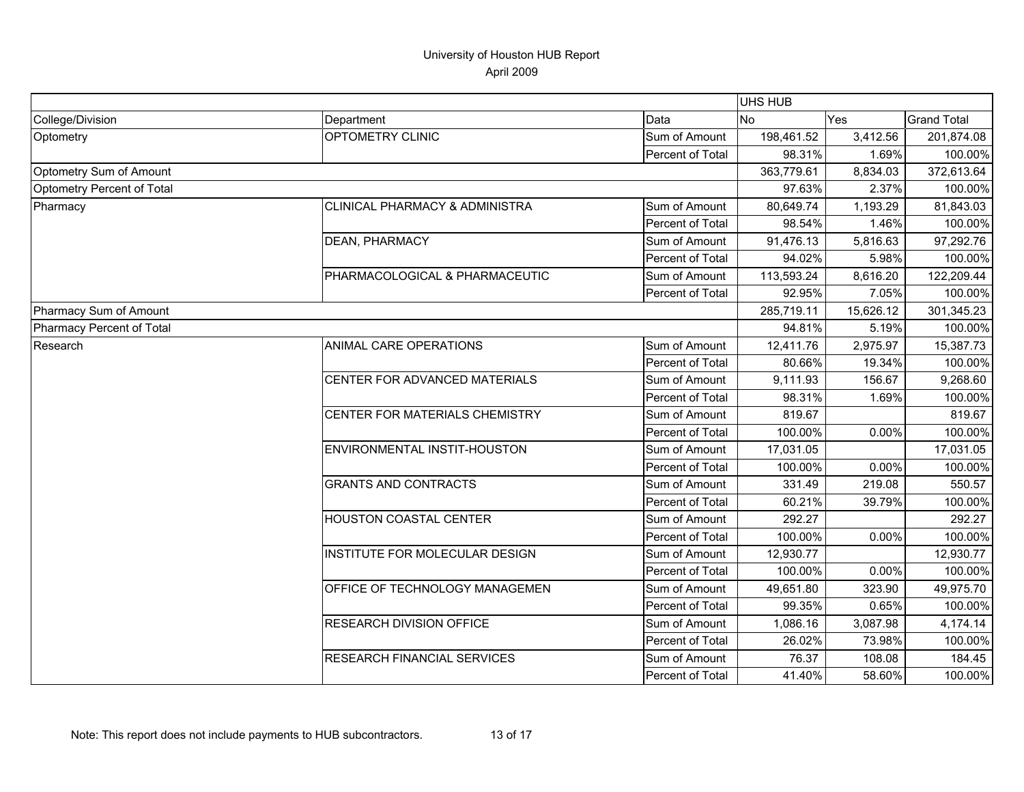|                            |                                 | UHS HUB          |            |           |                    |
|----------------------------|---------------------------------|------------------|------------|-----------|--------------------|
| College/Division           | Department                      | Data             | No         | Yes       | <b>Grand Total</b> |
| Optometry                  | <b>OPTOMETRY CLINIC</b>         | Sum of Amount    | 198,461.52 | 3,412.56  | 201,874.08         |
|                            |                                 | Percent of Total | 98.31%     | 1.69%     | 100.00%            |
| Optometry Sum of Amount    |                                 |                  | 363,779.61 | 8,834.03  | 372,613.64         |
| Optometry Percent of Total |                                 |                  | 97.63%     | 2.37%     | 100.00%            |
| Pharmacy                   | CLINICAL PHARMACY & ADMINISTRA  | Sum of Amount    | 80,649.74  | 1,193.29  | 81,843.03          |
|                            |                                 | Percent of Total | 98.54%     | 1.46%     | 100.00%            |
|                            | DEAN, PHARMACY                  | Sum of Amount    | 91,476.13  | 5,816.63  | 97,292.76          |
|                            |                                 | Percent of Total | 94.02%     | 5.98%     | 100.00%            |
|                            | PHARMACOLOGICAL & PHARMACEUTIC  | Sum of Amount    | 113,593.24 | 8,616.20  | 122,209.44         |
|                            |                                 | Percent of Total | 92.95%     | 7.05%     | 100.00%            |
| Pharmacy Sum of Amount     |                                 |                  |            | 15,626.12 | 301,345.23         |
| Pharmacy Percent of Total  |                                 |                  | 94.81%     | 5.19%     | 100.00%            |
| Research                   | ANIMAL CARE OPERATIONS          | Sum of Amount    | 12,411.76  | 2,975.97  | 15,387.73          |
|                            |                                 | Percent of Total | 80.66%     | 19.34%    | 100.00%            |
|                            | CENTER FOR ADVANCED MATERIALS   | Sum of Amount    | 9,111.93   | 156.67    | 9,268.60           |
|                            |                                 | Percent of Total | 98.31%     | 1.69%     | 100.00%            |
|                            | CENTER FOR MATERIALS CHEMISTRY  | Sum of Amount    | 819.67     |           | 819.67             |
|                            |                                 | Percent of Total | 100.00%    | 0.00%     | 100.00%            |
|                            | ENVIRONMENTAL INSTIT-HOUSTON    | Sum of Amount    | 17,031.05  |           | 17,031.05          |
|                            |                                 | Percent of Total | 100.00%    | 0.00%     | 100.00%            |
|                            | <b>GRANTS AND CONTRACTS</b>     | Sum of Amount    | 331.49     | 219.08    | 550.57             |
|                            |                                 | Percent of Total | 60.21%     | 39.79%    | 100.00%            |
|                            | <b>HOUSTON COASTAL CENTER</b>   | Sum of Amount    | 292.27     |           | 292.27             |
|                            |                                 | Percent of Total | 100.00%    | 0.00%     | 100.00%            |
|                            | INSTITUTE FOR MOLECULAR DESIGN  | Sum of Amount    | 12,930.77  |           | 12,930.77          |
|                            |                                 | Percent of Total | 100.00%    | 0.00%     | 100.00%            |
|                            | OFFICE OF TECHNOLOGY MANAGEMEN  | Sum of Amount    | 49,651.80  | 323.90    | 49,975.70          |
|                            |                                 | Percent of Total | 99.35%     | 0.65%     | 100.00%            |
|                            | <b>RESEARCH DIVISION OFFICE</b> | Sum of Amount    | 1,086.16   | 3,087.98  | 4,174.14           |
|                            |                                 | Percent of Total | 26.02%     | 73.98%    | 100.00%            |
|                            | RESEARCH FINANCIAL SERVICES     | Sum of Amount    | 76.37      | 108.08    | 184.45             |
|                            |                                 | Percent of Total | 41.40%     | 58.60%    | 100.00%            |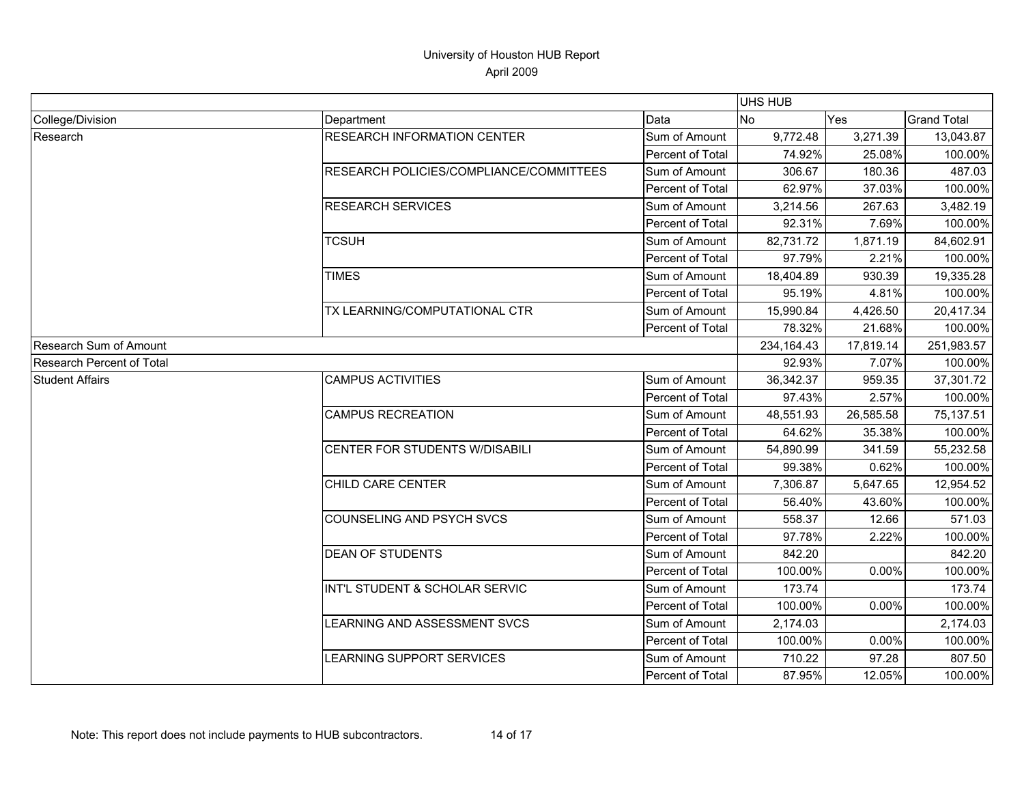|                               |                                         |                         | UHS HUB   |            |                    |
|-------------------------------|-----------------------------------------|-------------------------|-----------|------------|--------------------|
| College/Division              | Department                              | Data                    | No        | Yes        | <b>Grand Total</b> |
| Research                      | <b>RESEARCH INFORMATION CENTER</b>      | Sum of Amount           | 9,772.48  | 3,271.39   | 13,043.87          |
|                               |                                         | Percent of Total        | 74.92%    | 25.08%     | 100.00%            |
|                               | RESEARCH POLICIES/COMPLIANCE/COMMITTEES | Sum of Amount           | 306.67    | 180.36     | 487.03             |
|                               |                                         | Percent of Total        | 62.97%    | 37.03%     | 100.00%            |
|                               | <b>RESEARCH SERVICES</b>                | Sum of Amount           | 3,214.56  | 267.63     | 3,482.19           |
|                               |                                         | Percent of Total        | 92.31%    | 7.69%      | 100.00%            |
|                               | <b>TCSUH</b>                            | Sum of Amount           | 82,731.72 | 1,871.19   | 84,602.91          |
|                               |                                         | Percent of Total        | 97.79%    | 2.21%      | 100.00%            |
|                               | <b>TIMES</b>                            | Sum of Amount           | 18,404.89 | 930.39     | 19,335.28          |
|                               |                                         | Percent of Total        | 95.19%    | 4.81%      | 100.00%            |
|                               | TX LEARNING/COMPUTATIONAL CTR           | Sum of Amount           | 15,990.84 | 4,426.50   | 20,417.34          |
|                               |                                         | Percent of Total        | 78.32%    | 21.68%     | 100.00%            |
| <b>Research Sum of Amount</b> |                                         | 234, 164. 43            | 17,819.14 | 251,983.57 |                    |
| Research Percent of Total     |                                         |                         | 92.93%    | 7.07%      | 100.00%            |
| <b>Student Affairs</b>        | <b>CAMPUS ACTIVITIES</b>                | Sum of Amount           | 36,342.37 | 959.35     | 37,301.72          |
|                               |                                         | <b>Percent of Total</b> | 97.43%    | 2.57%      | 100.00%            |
|                               | <b>CAMPUS RECREATION</b>                | Sum of Amount           | 48,551.93 | 26,585.58  | 75,137.51          |
|                               |                                         | Percent of Total        | 64.62%    | 35.38%     | 100.00%            |
|                               | CENTER FOR STUDENTS W/DISABILI          | Sum of Amount           | 54,890.99 | 341.59     | 55,232.58          |
|                               |                                         | Percent of Total        | 99.38%    | 0.62%      | 100.00%            |
|                               | CHILD CARE CENTER                       | Sum of Amount           | 7,306.87  | 5,647.65   | 12,954.52          |
|                               |                                         | Percent of Total        | 56.40%    | 43.60%     | 100.00%            |
|                               | <b>COUNSELING AND PSYCH SVCS</b>        | Sum of Amount           | 558.37    | 12.66      | 571.03             |
|                               |                                         | Percent of Total        | 97.78%    | 2.22%      | 100.00%            |
|                               | <b>DEAN OF STUDENTS</b>                 | Sum of Amount           | 842.20    |            | 842.20             |
|                               |                                         | <b>Percent of Total</b> | 100.00%   | 0.00%      | 100.00%            |
|                               | INT'L STUDENT & SCHOLAR SERVIC          | Sum of Amount           | 173.74    |            | 173.74             |
|                               |                                         | Percent of Total        | 100.00%   | 0.00%      | 100.00%            |
|                               | <b>LEARNING AND ASSESSMENT SVCS</b>     | Sum of Amount           | 2,174.03  |            | 2,174.03           |
|                               |                                         | Percent of Total        | 100.00%   | 0.00%      | 100.00%            |
|                               | LEARNING SUPPORT SERVICES               | Sum of Amount           | 710.22    | 97.28      | 807.50             |
|                               |                                         | Percent of Total        | 87.95%    | 12.05%     | 100.00%            |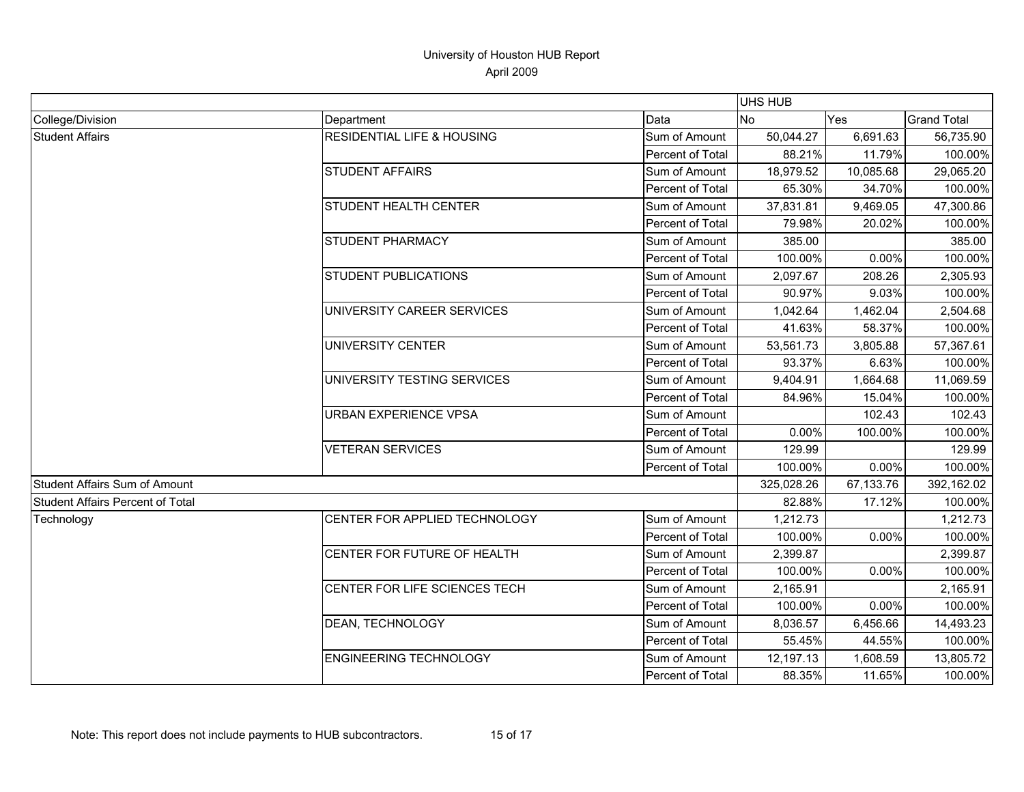|                                         |                                       |                                                          | UHS HUB   |            |                    |
|-----------------------------------------|---------------------------------------|----------------------------------------------------------|-----------|------------|--------------------|
| College/Division                        | Department                            | Data                                                     | <b>No</b> | Yes        | <b>Grand Total</b> |
| <b>Student Affairs</b>                  | <b>RESIDENTIAL LIFE &amp; HOUSING</b> | Sum of Amount                                            | 50,044.27 | 6,691.63   | 56,735.90          |
|                                         |                                       | Percent of Total                                         | 88.21%    | 11.79%     | 100.00%            |
|                                         | <b>STUDENT AFFAIRS</b>                | Sum of Amount                                            | 18,979.52 | 10,085.68  | 29,065.20          |
|                                         |                                       | Percent of Total                                         | 65.30%    | 34.70%     | 100.00%            |
|                                         | <b>STUDENT HEALTH CENTER</b>          | Sum of Amount                                            | 37,831.81 | 9,469.05   | 47,300.86          |
|                                         |                                       | Percent of Total                                         | 79.98%    | 20.02%     | 100.00%            |
|                                         | <b>STUDENT PHARMACY</b>               | Sum of Amount                                            | 385.00    |            | 385.00             |
|                                         |                                       | Percent of Total                                         | 100.00%   | 0.00%      | 100.00%            |
|                                         | <b>STUDENT PUBLICATIONS</b>           | Sum of Amount                                            | 2,097.67  | 208.26     | 2,305.93           |
|                                         |                                       | Percent of Total                                         | 90.97%    | 9.03%      | 100.00%            |
|                                         | UNIVERSITY CAREER SERVICES            | Sum of Amount                                            | 1,042.64  | 1,462.04   | 2,504.68           |
|                                         |                                       | Percent of Total                                         | 41.63%    | 58.37%     | 100.00%            |
|                                         | UNIVERSITY CENTER                     | 53,561.73<br>Sum of Amount<br>93.37%<br>Percent of Total | 3,805.88  | 57,367.61  |                    |
|                                         |                                       |                                                          |           | 6.63%      | 100.00%            |
|                                         | UNIVERSITY TESTING SERVICES           | Sum of Amount                                            | 9,404.91  | 1,664.68   | 11,069.59          |
|                                         |                                       | Percent of Total                                         | 84.96%    | 15.04%     | 100.00%            |
|                                         | URBAN EXPERIENCE VPSA                 | Sum of Amount                                            |           | 102.43     | 102.43             |
|                                         |                                       | Percent of Total                                         | 0.00%     | 100.00%    | 100.00%            |
|                                         | <b>VETERAN SERVICES</b>               | Sum of Amount                                            | 129.99    |            | 129.99             |
|                                         |                                       | Percent of Total                                         | 100.00%   | 0.00%      | 100.00%            |
| <b>Student Affairs Sum of Amount</b>    |                                       | 325,028.26                                               | 67,133.76 | 392,162.02 |                    |
| <b>Student Affairs Percent of Total</b> |                                       |                                                          | 82.88%    | 17.12%     | 100.00%            |
| Technology                              | CENTER FOR APPLIED TECHNOLOGY         | Sum of Amount                                            | 1,212.73  |            | 1,212.73           |
|                                         |                                       | Percent of Total                                         | 100.00%   | 0.00%      | 100.00%            |
|                                         | CENTER FOR FUTURE OF HEALTH           | Sum of Amount                                            | 2,399.87  |            | 2,399.87           |
|                                         |                                       | Percent of Total                                         | 100.00%   | 0.00%      | 100.00%            |
|                                         | CENTER FOR LIFE SCIENCES TECH         | Sum of Amount                                            | 2,165.91  |            | 2,165.91           |
|                                         |                                       | Percent of Total                                         | 100.00%   | 0.00%      | 100.00%            |
|                                         | <b>DEAN, TECHNOLOGY</b>               | Sum of Amount                                            | 8,036.57  | 6,456.66   | 14,493.23          |
|                                         |                                       | Percent of Total                                         | 55.45%    | 44.55%     | 100.00%            |
|                                         | <b>ENGINEERING TECHNOLOGY</b>         | Sum of Amount                                            | 12,197.13 | 1,608.59   | 13,805.72          |
|                                         |                                       | Percent of Total                                         | 88.35%    | 11.65%     | 100.00%            |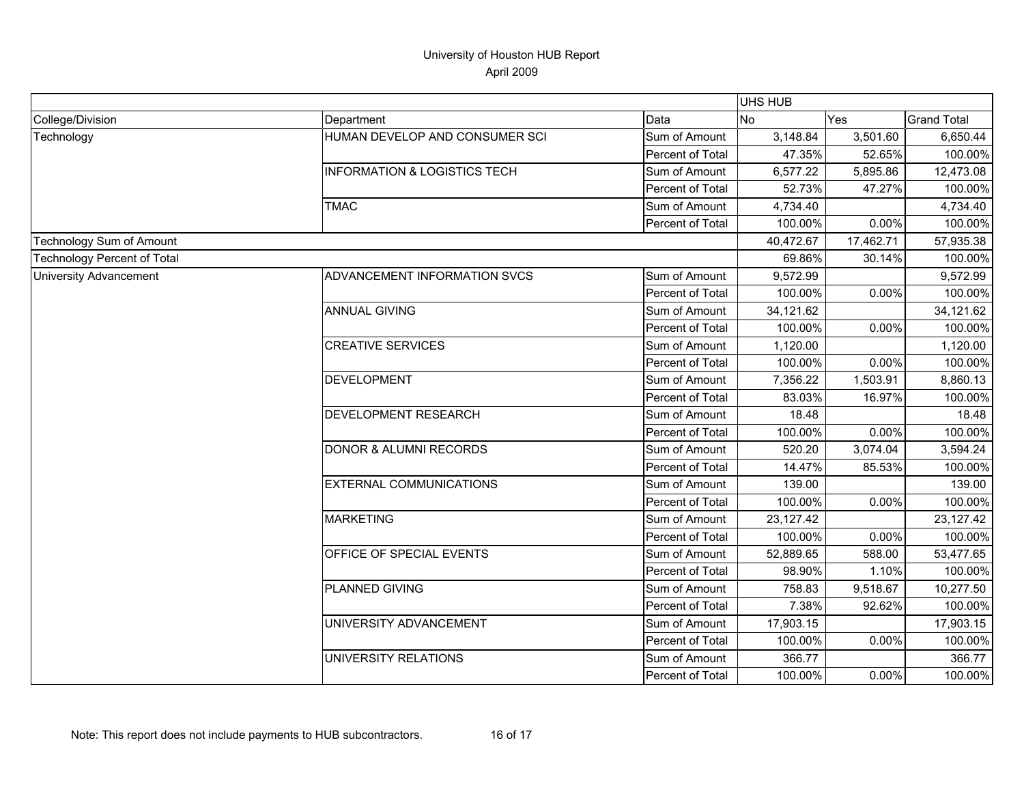|                               |                                         |                  | <b>UHS HUB</b> |           |                    |
|-------------------------------|-----------------------------------------|------------------|----------------|-----------|--------------------|
| College/Division              | Department                              | Data             | No             | Yes       | <b>Grand Total</b> |
| Technology                    | HUMAN DEVELOP AND CONSUMER SCI          | Sum of Amount    | 3,148.84       | 3,501.60  | 6,650.44           |
|                               |                                         | Percent of Total | 47.35%         | 52.65%    | 100.00%            |
|                               | <b>INFORMATION &amp; LOGISTICS TECH</b> | Sum of Amount    | 6,577.22       | 5,895.86  | 12,473.08          |
|                               |                                         | Percent of Total | 52.73%         | 47.27%    | 100.00%            |
|                               | <b>TMAC</b>                             | Sum of Amount    | 4,734.40       |           | 4,734.40           |
|                               |                                         | Percent of Total | 100.00%        | 0.00%     | 100.00%            |
| Technology Sum of Amount      |                                         |                  | 40,472.67      | 17,462.71 | 57,935.38          |
| Technology Percent of Total   |                                         |                  | 69.86%         | 30.14%    | 100.00%            |
| <b>University Advancement</b> | ADVANCEMENT INFORMATION SVCS            | Sum of Amount    | 9,572.99       |           | 9,572.99           |
|                               |                                         | Percent of Total | 100.00%        | 0.00%     | 100.00%            |
|                               | <b>ANNUAL GIVING</b>                    | Sum of Amount    | 34,121.62      |           | 34,121.62          |
|                               |                                         | Percent of Total | 100.00%        | 0.00%     | 100.00%            |
|                               | <b>CREATIVE SERVICES</b>                | Sum of Amount    | 1,120.00       |           | 1,120.00           |
|                               |                                         | Percent of Total | 100.00%        | 0.00%     | 100.00%            |
|                               | <b>DEVELOPMENT</b>                      | Sum of Amount    | 7,356.22       | 1,503.91  | 8,860.13           |
|                               |                                         | Percent of Total | 83.03%         | 16.97%    | 100.00%            |
|                               | DEVELOPMENT RESEARCH                    | Sum of Amount    | 18.48          |           | 18.48              |
|                               |                                         | Percent of Total | 100.00%        | 0.00%     | 100.00%            |
|                               | <b>DONOR &amp; ALUMNI RECORDS</b>       | Sum of Amount    | 520.20         | 3,074.04  | 3,594.24           |
|                               |                                         | Percent of Total | 14.47%         | 85.53%    | 100.00%            |
|                               | <b>EXTERNAL COMMUNICATIONS</b>          | Sum of Amount    | 139.00         |           | 139.00             |
|                               |                                         | Percent of Total | 100.00%        | 0.00%     | 100.00%            |
|                               | <b>MARKETING</b>                        | Sum of Amount    | 23,127.42      |           | 23,127.42          |
|                               |                                         | Percent of Total | 100.00%        | 0.00%     | 100.00%            |
|                               | OFFICE OF SPECIAL EVENTS                | Sum of Amount    | 52,889.65      | 588.00    | 53,477.65          |
|                               |                                         | Percent of Total | 98.90%         | 1.10%     | 100.00%            |
|                               | PLANNED GIVING                          | Sum of Amount    | 758.83         | 9,518.67  | 10,277.50          |
|                               |                                         | Percent of Total | 7.38%          | 92.62%    | 100.00%            |
|                               | UNIVERSITY ADVANCEMENT                  | Sum of Amount    | 17,903.15      |           | 17,903.15          |
|                               |                                         | Percent of Total | 100.00%        | 0.00%     | 100.00%            |
|                               | UNIVERSITY RELATIONS                    | Sum of Amount    | 366.77         |           | 366.77             |
|                               |                                         | Percent of Total | 100.00%        | 0.00%     | 100.00%            |